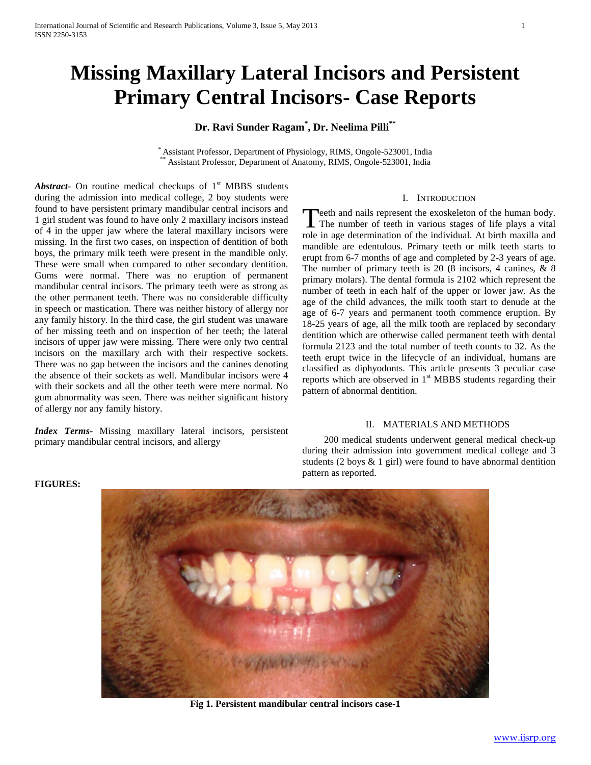# **Missing Maxillary Lateral Incisors and Persistent Primary Central Incisors- Case Reports**

# **Dr. Ravi Sunder Ragam\* , Dr. Neelima Pilli\*\***

\* Assistant Professor, Department of Physiology, RIMS, Ongole-523001, India Assistant Professor, Department of Anatomy, RIMS, Ongole-523001, India

*Abstract* On routine medical checkups of  $1<sup>st</sup> MBBS$  students during the admission into medical college, 2 boy students were found to have persistent primary mandibular central incisors and 1 girl student was found to have only 2 maxillary incisors instead of 4 in the upper jaw where the lateral maxillary incisors were missing. In the first two cases, on inspection of dentition of both boys, the primary milk teeth were present in the mandible only. These were small when compared to other secondary dentition. Gums were normal. There was no eruption of permanent mandibular central incisors. The primary teeth were as strong as the other permanent teeth. There was no considerable difficulty in speech or mastication. There was neither history of allergy nor any family history. In the third case, the girl student was unaware of her missing teeth and on inspection of her teeth; the lateral incisors of upper jaw were missing. There were only two central incisors on the maxillary arch with their respective sockets. There was no gap between the incisors and the canines denoting the absence of their sockets as well. Mandibular incisors were 4 with their sockets and all the other teeth were mere normal. No gum abnormality was seen. There was neither significant history of allergy nor any family history.

*Index Terms*- Missing maxillary lateral incisors, persistent primary mandibular central incisors, and allergy

### I. INTRODUCTION

Teeth and nails represent the exoskeleton of the human body. Teeth and nails represent the exoskeleton of the human body.<br>The number of teeth in various stages of life plays a vital role in age determination of the individual. At birth maxilla and mandible are edentulous. Primary teeth or milk teeth starts to erupt from 6-7 months of age and completed by 2-3 years of age. The number of primary teeth is 20 (8 incisors, 4 canines, & 8 primary molars). The dental formula is 2102 which represent the number of teeth in each half of the upper or lower jaw. As the age of the child advances, the milk tooth start to denude at the age of 6-7 years and permanent tooth commence eruption. By 18-25 years of age, all the milk tooth are replaced by secondary dentition which are otherwise called permanent teeth with dental formula 2123 and the total number of teeth counts to 32. As the teeth erupt twice in the lifecycle of an individual, humans are classified as diphyodonts. This article presents 3 peculiar case reports which are observed in  $1<sup>st</sup> MBBS$  students regarding their pattern of abnormal dentition.

# II. MATERIALS AND METHODS

 200 medical students underwent general medical check-up during their admission into government medical college and 3 students (2 boys & 1 girl) were found to have abnormal dentition pattern as reported.

#### **FIGURES:**



**Fig 1. Persistent mandibular central incisors case-1**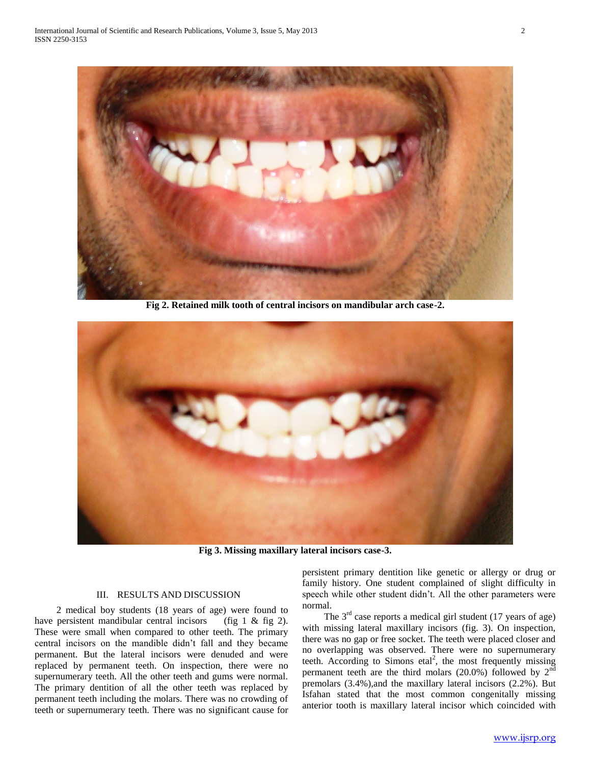

**Fig 2. Retained milk tooth of central incisors on mandibular arch case-2.**



**Fig 3. Missing maxillary lateral incisors case-3.**

## III. RESULTS AND DISCUSSION

 2 medical boy students (18 years of age) were found to have persistent mandibular central incisors (fig 1 & fig 2). These were small when compared to other teeth. The primary central incisors on the mandible didn't fall and they became permanent. But the lateral incisors were denuded and were replaced by permanent teeth. On inspection, there were no supernumerary teeth. All the other teeth and gums were normal. The primary dentition of all the other teeth was replaced by permanent teeth including the molars. There was no crowding of teeth or supernumerary teeth. There was no significant cause for

persistent primary dentition like genetic or allergy or drug or family history. One student complained of slight difficulty in speech while other student didn't. All the other parameters were normal.

The  $3<sup>rd</sup>$  case reports a medical girl student (17 years of age) with missing lateral maxillary incisors (fig. 3). On inspection, there was no gap or free socket. The teeth were placed closer and no overlapping was observed. There were no supernumerary teeth. According to Simons etal<sup>2</sup>, the most frequently missing permanent teeth are the third molars  $(20.0\%)$  followed by  $2<sup>nd</sup>$ premolars (3.4%),and the maxillary lateral incisors (2.2%). But Isfahan stated that the most common congenitally missing anterior tooth is maxillary lateral incisor which coincided with